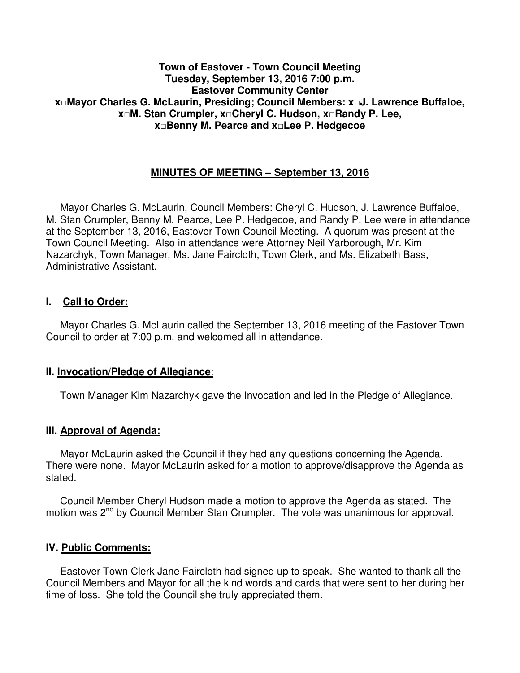### **Town of Eastover - Town Council Meeting Tuesday, September 13, 2016 7:00 p.m. Eastover Community Center x□Mayor Charles G. McLaurin, Presiding; Council Members: x□J. Lawrence Buffaloe, x□M. Stan Crumpler, x□Cheryl C. Hudson, x□Randy P. Lee, x□Benny M. Pearce and x□Lee P. Hedgecoe**

# **MINUTES OF MEETING – September 13, 2016**

 Mayor Charles G. McLaurin, Council Members: Cheryl C. Hudson, J. Lawrence Buffaloe, M. Stan Crumpler, Benny M. Pearce, Lee P. Hedgecoe, and Randy P. Lee were in attendance at the September 13, 2016, Eastover Town Council Meeting. A quorum was present at the Town Council Meeting. Also in attendance were Attorney Neil Yarborough**,** Mr. Kim Nazarchyk, Town Manager, Ms. Jane Faircloth, Town Clerk, and Ms. Elizabeth Bass, Administrative Assistant.

### **I. Call to Order:**

 Mayor Charles G. McLaurin called the September 13, 2016 meeting of the Eastover Town Council to order at 7:00 p.m. and welcomed all in attendance.

#### **II. Invocation/Pledge of Allegiance**:

Town Manager Kim Nazarchyk gave the Invocation and led in the Pledge of Allegiance.

#### **III. Approval of Agenda:**

 Mayor McLaurin asked the Council if they had any questions concerning the Agenda. There were none. Mayor McLaurin asked for a motion to approve/disapprove the Agenda as stated.

 Council Member Cheryl Hudson made a motion to approve the Agenda as stated. The motion was 2<sup>nd</sup> by Council Member Stan Crumpler. The vote was unanimous for approval.

#### **IV. Public Comments:**

 Eastover Town Clerk Jane Faircloth had signed up to speak. She wanted to thank all the Council Members and Mayor for all the kind words and cards that were sent to her during her time of loss. She told the Council she truly appreciated them.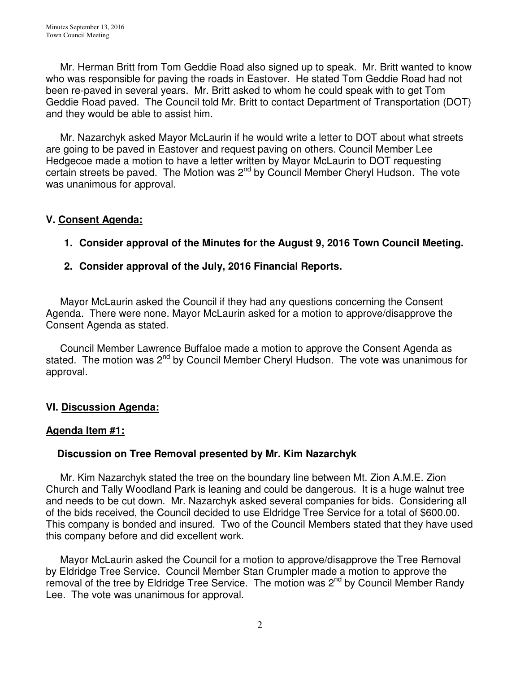Mr. Herman Britt from Tom Geddie Road also signed up to speak. Mr. Britt wanted to know who was responsible for paving the roads in Eastover. He stated Tom Geddie Road had not been re-paved in several years. Mr. Britt asked to whom he could speak with to get Tom Geddie Road paved. The Council told Mr. Britt to contact Department of Transportation (DOT) and they would be able to assist him.

 Mr. Nazarchyk asked Mayor McLaurin if he would write a letter to DOT about what streets are going to be paved in Eastover and request paving on others. Council Member Lee Hedgecoe made a motion to have a letter written by Mayor McLaurin to DOT requesting certain streets be paved. The Motion was 2<sup>nd</sup> by Council Member Cheryl Hudson. The vote was unanimous for approval.

# **V. Consent Agenda:**

# **1. Consider approval of the Minutes for the August 9, 2016 Town Council Meeting.**

# **2. Consider approval of the July, 2016 Financial Reports.**

 Mayor McLaurin asked the Council if they had any questions concerning the Consent Agenda. There were none. Mayor McLaurin asked for a motion to approve/disapprove the Consent Agenda as stated.

 Council Member Lawrence Buffaloe made a motion to approve the Consent Agenda as stated. The motion was 2<sup>nd</sup> by Council Member Cheryl Hudson. The vote was unanimous for approval.

# **VI. Discussion Agenda:**

# **Agenda Item #1:**

# **Discussion on Tree Removal presented by Mr. Kim Nazarchyk**

Mr. Kim Nazarchyk stated the tree on the boundary line between Mt. Zion A.M.E. Zion Church and Tally Woodland Park is leaning and could be dangerous. It is a huge walnut tree and needs to be cut down. Mr. Nazarchyk asked several companies for bids. Considering all of the bids received, the Council decided to use Eldridge Tree Service for a total of \$600.00. This company is bonded and insured. Two of the Council Members stated that they have used this company before and did excellent work.

 Mayor McLaurin asked the Council for a motion to approve/disapprove the Tree Removal by Eldridge Tree Service. Council Member Stan Crumpler made a motion to approve the removal of the tree by Eldridge Tree Service. The motion was 2<sup>nd</sup> by Council Member Randy Lee. The vote was unanimous for approval.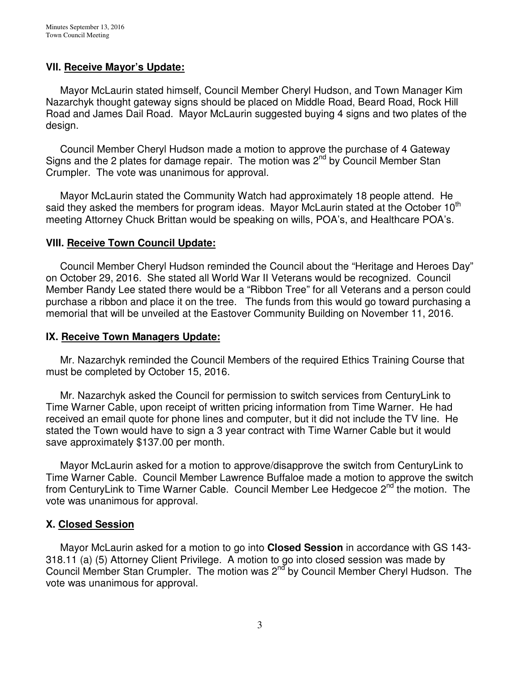### **VII. Receive Mayor's Update:**

 Mayor McLaurin stated himself, Council Member Cheryl Hudson, and Town Manager Kim Nazarchyk thought gateway signs should be placed on Middle Road, Beard Road, Rock Hill Road and James Dail Road. Mayor McLaurin suggested buying 4 signs and two plates of the design.

 Council Member Cheryl Hudson made a motion to approve the purchase of 4 Gateway Signs and the 2 plates for damage repair. The motion was  $2^{nd}$  by Council Member Stan Crumpler. The vote was unanimous for approval.

 Mayor McLaurin stated the Community Watch had approximately 18 people attend. He said they asked the members for program ideas. Mayor McLaurin stated at the October 10<sup>th</sup> meeting Attorney Chuck Brittan would be speaking on wills, POA's, and Healthcare POA's.

### **VIII. Receive Town Council Update:**

 Council Member Cheryl Hudson reminded the Council about the "Heritage and Heroes Day" on October 29, 2016. She stated all World War II Veterans would be recognized. Council Member Randy Lee stated there would be a "Ribbon Tree" for all Veterans and a person could purchase a ribbon and place it on the tree. The funds from this would go toward purchasing a memorial that will be unveiled at the Eastover Community Building on November 11, 2016.

### **IX. Receive Town Managers Update:**

 Mr. Nazarchyk reminded the Council Members of the required Ethics Training Course that must be completed by October 15, 2016.

 Mr. Nazarchyk asked the Council for permission to switch services from CenturyLink to Time Warner Cable, upon receipt of written pricing information from Time Warner. He had received an email quote for phone lines and computer, but it did not include the TV line. He stated the Town would have to sign a 3 year contract with Time Warner Cable but it would save approximately \$137.00 per month.

 Mayor McLaurin asked for a motion to approve/disapprove the switch from CenturyLink to Time Warner Cable. Council Member Lawrence Buffaloe made a motion to approve the switch from CenturyLink to Time Warner Cable. Council Member Lee Hedgecoe  $2^{nd}$  the motion. The vote was unanimous for approval.

### **X. Closed Session**

 Mayor McLaurin asked for a motion to go into **Closed Session** in accordance with GS 143- 318.11 (a) (5) Attorney Client Privilege. A motion to go into closed session was made by Council Member Stan Crumpler. The motion was 2<sup>nd</sup> by Council Member Cheryl Hudson. The vote was unanimous for approval.